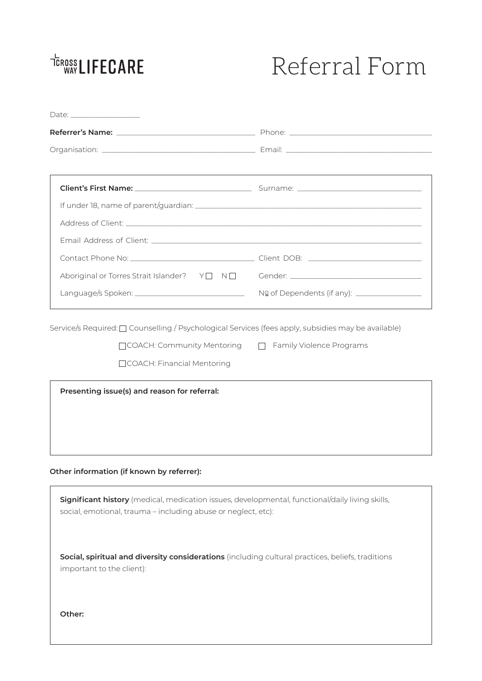# <sup>TCROSS</sup> LIFECARE

# Referral Form

| Aboriginal or Torres Strait Islander? Y□ N□ Gender: ____________________________                                                                                 |  |
|------------------------------------------------------------------------------------------------------------------------------------------------------------------|--|
|                                                                                                                                                                  |  |
| Presenting issue(s) and reason for referral:                                                                                                                     |  |
| Other information (if known by referrer):                                                                                                                        |  |
| Significant history (medical, medication issues, developmental, functional/daily living skills,<br>social, emotional, trauma - including abuse or neglect, etc): |  |
| Social, spiritual and diversity considerations (including cultural practices, beliefs, traditions<br>important to the client):                                   |  |
|                                                                                                                                                                  |  |

**Other:**